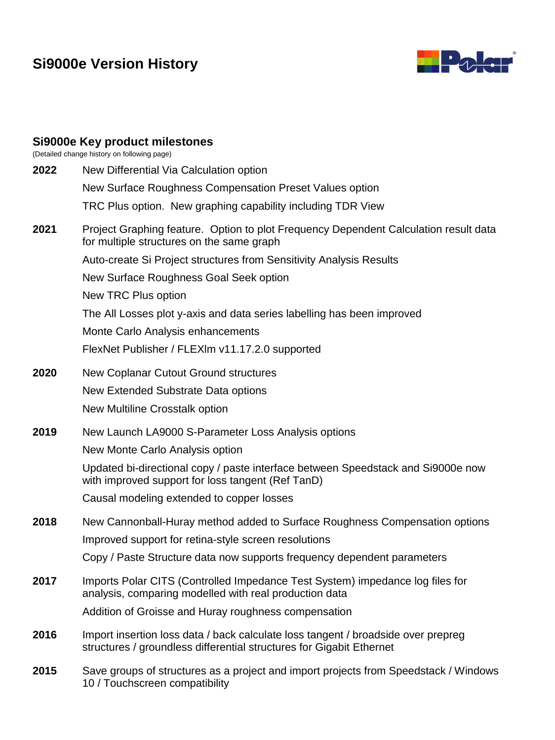# **Si9000e Version History**



#### **Si9000e Key product milestones**

(Detailed change history on following page)

**2022** New Differential Via Calculation option New Surface Roughness Compensation Preset Values option TRC Plus option. New graphing capability including TDR View **2021** Project Graphing feature. Option to plot Frequency Dependent Calculation result data for multiple structures on the same graph Auto-create Si Project structures from Sensitivity Analysis Results New Surface Roughness Goal Seek option New TRC Plus option The All Losses plot y-axis and data series labelling has been improved Monte Carlo Analysis enhancements FlexNet Publisher / FLEXlm v11.17.2.0 supported **2020** New Coplanar Cutout Ground structures New Extended Substrate Data options New Multiline Crosstalk option **2019** New Launch LA9000 S-Parameter Loss Analysis options New Monte Carlo Analysis option Updated bi-directional copy / paste interface between Speedstack and Si9000e now with improved support for loss tangent (Ref TanD) Causal modeling extended to copper losses **2018** New Cannonball-Huray method added to Surface Roughness Compensation options Improved support for retina-style screen resolutions Copy / Paste Structure data now supports frequency dependent parameters **2017** Imports Polar CITS (Controlled Impedance Test System) impedance log files for analysis, comparing modelled with real production data Addition of Groisse and Huray roughness compensation **2016** Import insertion loss data / back calculate loss tangent / broadside over prepreg structures / groundless differential structures for Gigabit Ethernet **2015** Save groups of structures as a project and import projects from Speedstack / Windows 10 / Touchscreen compatibility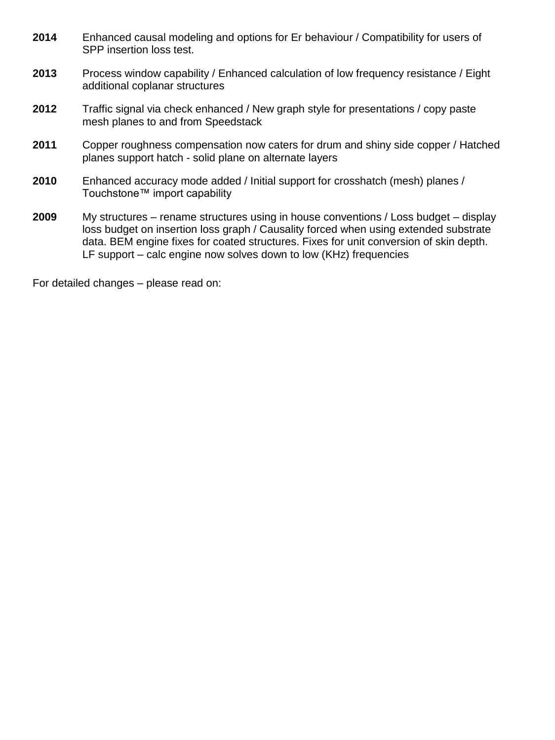- **2014** Enhanced causal modeling and options for Er behaviour / Compatibility for users of SPP insertion loss test.
- **2013** Process window capability / Enhanced calculation of low frequency resistance / Eight additional coplanar structures
- **2012** Traffic signal via check enhanced / New graph style for presentations / copy paste mesh planes to and from Speedstack
- **2011** Copper roughness compensation now caters for drum and shiny side copper / Hatched planes support hatch - solid plane on alternate layers
- **2010** Enhanced accuracy mode added / Initial support for crosshatch (mesh) planes / Touchstone™ import capability
- **2009** My structures rename structures using in house conventions / Loss budget display loss budget on insertion loss graph / Causality forced when using extended substrate data. BEM engine fixes for coated structures. Fixes for unit conversion of skin depth. LF support – calc engine now solves down to low (KHz) frequencies

For detailed changes – please read on: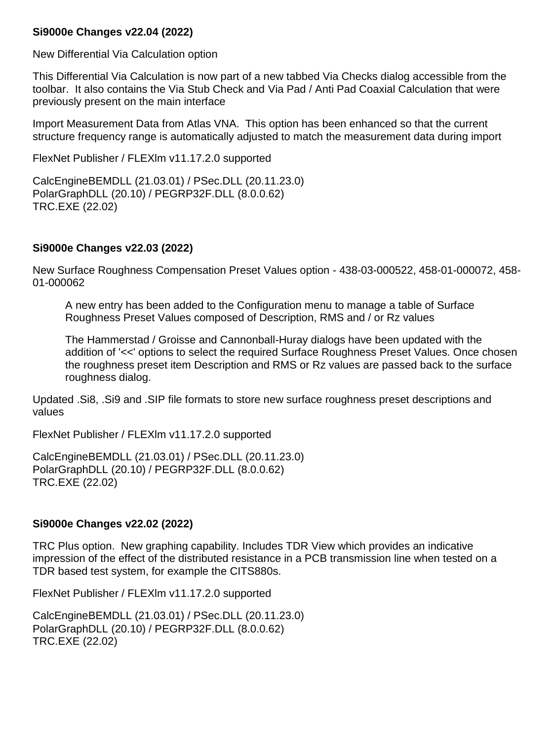#### **Si9000e Changes v22.04 (2022)**

New Differential Via Calculation option

This Differential Via Calculation is now part of a new tabbed Via Checks dialog accessible from the toolbar. It also contains the Via Stub Check and Via Pad / Anti Pad Coaxial Calculation that were previously present on the main interface

Import Measurement Data from Atlas VNA. This option has been enhanced so that the current structure frequency range is automatically adjusted to match the measurement data during import

FlexNet Publisher / FLEXlm v11.17.2.0 supported

CalcEngineBEMDLL (21.03.01) / PSec.DLL (20.11.23.0) PolarGraphDLL (20.10) / PEGRP32F.DLL (8.0.0.62) TRC.EXE (22.02)

## **Si9000e Changes v22.03 (2022)**

New Surface Roughness Compensation Preset Values option - 438-03-000522, 458-01-000072, 458- 01-000062

A new entry has been added to the Configuration menu to manage a table of Surface Roughness Preset Values composed of Description, RMS and / or Rz values

The Hammerstad / Groisse and Cannonball-Huray dialogs have been updated with the addition of '<<' options to select the required Surface Roughness Preset Values. Once chosen the roughness preset item Description and RMS or Rz values are passed back to the surface roughness dialog.

Updated .Si8, .Si9 and .SIP file formats to store new surface roughness preset descriptions and values

FlexNet Publisher / FLEXlm v11.17.2.0 supported

CalcEngineBEMDLL (21.03.01) / PSec.DLL (20.11.23.0) PolarGraphDLL (20.10) / PEGRP32F.DLL (8.0.0.62) TRC.EXE (22.02)

## **Si9000e Changes v22.02 (2022)**

TRC Plus option. New graphing capability. Includes TDR View which provides an indicative impression of the effect of the distributed resistance in a PCB transmission line when tested on a TDR based test system, for example the CITS880s.

FlexNet Publisher / FLEXlm v11.17.2.0 supported

CalcEngineBEMDLL (21.03.01) / PSec.DLL (20.11.23.0) PolarGraphDLL (20.10) / PEGRP32F.DLL (8.0.0.62) TRC.EXE (22.02)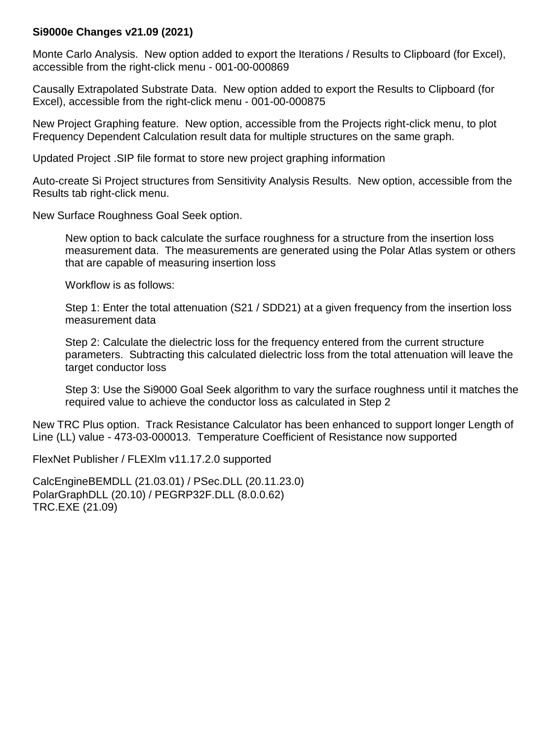#### **Si9000e Changes v21.09 (2021)**

Monte Carlo Analysis. New option added to export the Iterations / Results to Clipboard (for Excel), accessible from the right-click menu - 001-00-000869

Causally Extrapolated Substrate Data. New option added to export the Results to Clipboard (for Excel), accessible from the right-click menu - 001-00-000875

New Project Graphing feature. New option, accessible from the Projects right-click menu, to plot Frequency Dependent Calculation result data for multiple structures on the same graph.

Updated Project .SIP file format to store new project graphing information

Auto-create Si Project structures from Sensitivity Analysis Results. New option, accessible from the Results tab right-click menu.

New Surface Roughness Goal Seek option.

New option to back calculate the surface roughness for a structure from the insertion loss measurement data. The measurements are generated using the Polar Atlas system or others that are capable of measuring insertion loss

Workflow is as follows:

Step 1: Enter the total attenuation (S21 / SDD21) at a given frequency from the insertion loss measurement data

Step 2: Calculate the dielectric loss for the frequency entered from the current structure parameters. Subtracting this calculated dielectric loss from the total attenuation will leave the target conductor loss

Step 3: Use the Si9000 Goal Seek algorithm to vary the surface roughness until it matches the required value to achieve the conductor loss as calculated in Step 2

New TRC Plus option. Track Resistance Calculator has been enhanced to support longer Length of Line (LL) value - 473-03-000013. Temperature Coefficient of Resistance now supported

FlexNet Publisher / FLEXlm v11.17.2.0 supported

CalcEngineBEMDLL (21.03.01) / PSec.DLL (20.11.23.0) PolarGraphDLL (20.10) / PEGRP32F.DLL (8.0.0.62) TRC.EXE (21.09)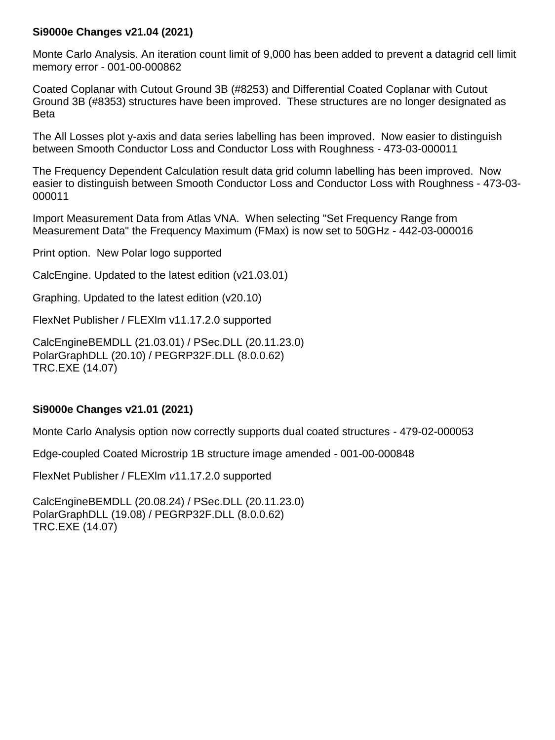#### **Si9000e Changes v21.04 (2021)**

Monte Carlo Analysis. An iteration count limit of 9,000 has been added to prevent a datagrid cell limit memory error - 001-00-000862

Coated Coplanar with Cutout Ground 3B (#8253) and Differential Coated Coplanar with Cutout Ground 3B (#8353) structures have been improved. These structures are no longer designated as Beta

The All Losses plot y-axis and data series labelling has been improved. Now easier to distinguish between Smooth Conductor Loss and Conductor Loss with Roughness - 473-03-000011

The Frequency Dependent Calculation result data grid column labelling has been improved. Now easier to distinguish between Smooth Conductor Loss and Conductor Loss with Roughness - 473-03- 000011

Import Measurement Data from Atlas VNA. When selecting "Set Frequency Range from Measurement Data" the Frequency Maximum (FMax) is now set to 50GHz - 442-03-000016

Print option. New Polar logo supported

CalcEngine. Updated to the latest edition (v21.03.01)

Graphing. Updated to the latest edition (v20.10)

FlexNet Publisher / FLEXlm v11.17.2.0 supported

CalcEngineBEMDLL (21.03.01) / PSec.DLL (20.11.23.0) PolarGraphDLL (20.10) / PEGRP32F.DLL (8.0.0.62) TRC.EXE (14.07)

#### **Si9000e Changes v21.01 (2021)**

Monte Carlo Analysis option now correctly supports dual coated structures - 479-02-000053

Edge-coupled Coated Microstrip 1B structure image amended - 001-00-000848

FlexNet Publisher / FLEXlm *v*11.17.2.0 supported

CalcEngineBEMDLL (20.08.24) / PSec.DLL (20.11.23.0) PolarGraphDLL (19.08) / PEGRP32F.DLL (8.0.0.62) TRC.EXE (14.07)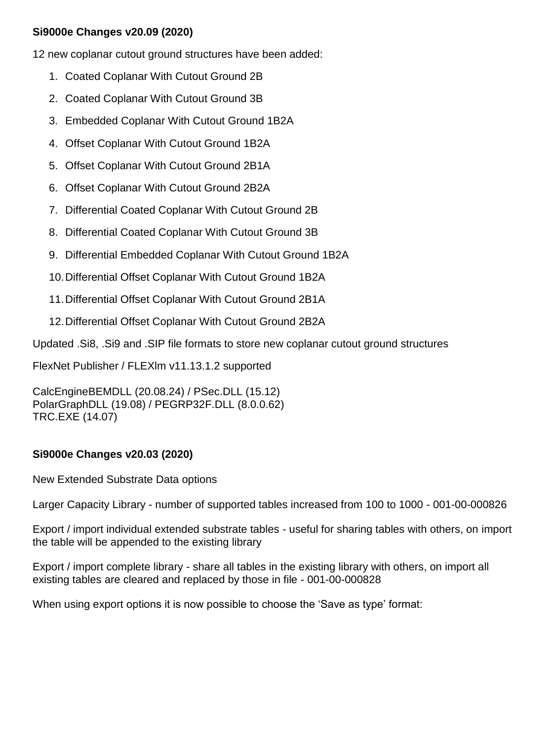### **Si9000e Changes v20.09 (2020)**

12 new coplanar cutout ground structures have been added:

- 1. Coated Coplanar With Cutout Ground 2B
- 2. Coated Coplanar With Cutout Ground 3B
- 3. Embedded Coplanar With Cutout Ground 1B2A
- 4. Offset Coplanar With Cutout Ground 1B2A
- 5. Offset Coplanar With Cutout Ground 2B1A
- 6. Offset Coplanar With Cutout Ground 2B2A
- 7. Differential Coated Coplanar With Cutout Ground 2B
- 8. Differential Coated Coplanar With Cutout Ground 3B
- 9. Differential Embedded Coplanar With Cutout Ground 1B2A
- 10.Differential Offset Coplanar With Cutout Ground 1B2A
- 11.Differential Offset Coplanar With Cutout Ground 2B1A
- 12.Differential Offset Coplanar With Cutout Ground 2B2A

Updated .Si8, .Si9 and .SIP file formats to store new coplanar cutout ground structures

FlexNet Publisher / FLEXlm v11.13.1.2 supported

CalcEngineBEMDLL (20.08.24) / PSec.DLL (15.12) PolarGraphDLL (19.08) / PEGRP32F.DLL (8.0.0.62) TRC.EXE (14.07)

### **Si9000e Changes v20.03 (2020)**

New Extended Substrate Data options

Larger Capacity Library - number of supported tables increased from 100 to 1000 - 001-00-000826

Export / import individual extended substrate tables - useful for sharing tables with others, on import the table will be appended to the existing library

Export / import complete library - share all tables in the existing library with others, on import all existing tables are cleared and replaced by those in file - 001-00-000828

When using export options it is now possible to choose the 'Save as type' format: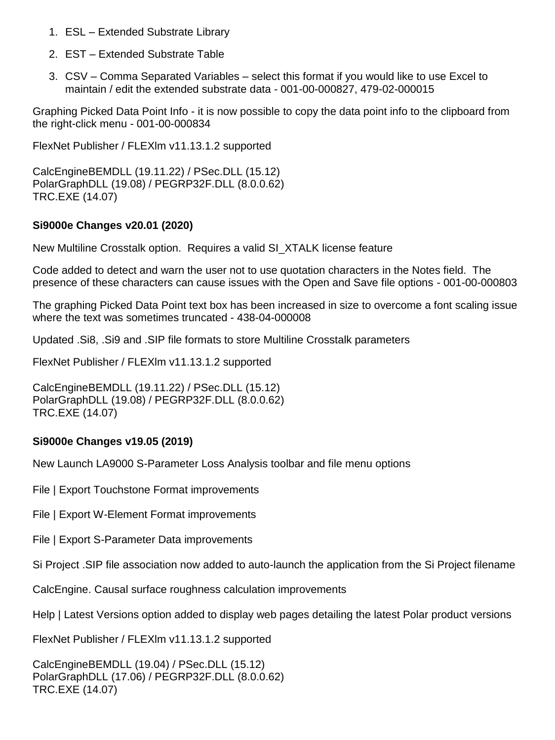- 1. ESL Extended Substrate Library
- 2. EST Extended Substrate Table
- 3. CSV Comma Separated Variables select this format if you would like to use Excel to maintain / edit the extended substrate data - 001-00-000827, 479-02-000015

Graphing Picked Data Point Info - it is now possible to copy the data point info to the clipboard from the right-click menu - 001-00-000834

FlexNet Publisher / FLEXlm v11.13.1.2 supported

CalcEngineBEMDLL (19.11.22) / PSec.DLL (15.12) PolarGraphDLL (19.08) / PEGRP32F.DLL (8.0.0.62) TRC.EXE (14.07)

#### **Si9000e Changes v20.01 (2020)**

New Multiline Crosstalk option. Requires a valid SI\_XTALK license feature

Code added to detect and warn the user not to use quotation characters in the Notes field. The presence of these characters can cause issues with the Open and Save file options - 001-00-000803

The graphing Picked Data Point text box has been increased in size to overcome a font scaling issue where the text was sometimes truncated - 438-04-000008

Updated .Si8, .Si9 and .SIP file formats to store Multiline Crosstalk parameters

FlexNet Publisher / FLEXlm v11.13.1.2 supported

CalcEngineBEMDLL (19.11.22) / PSec.DLL (15.12) PolarGraphDLL (19.08) / PEGRP32F.DLL (8.0.0.62) TRC.EXE (14.07)

#### **Si9000e Changes v19.05 (2019)**

New Launch LA9000 S-Parameter Loss Analysis toolbar and file menu options

File | Export Touchstone Format improvements

File | Export W-Element Format improvements

File | Export S-Parameter Data improvements

Si Project .SIP file association now added to auto-launch the application from the Si Project filename

CalcEngine. Causal surface roughness calculation improvements

Help | Latest Versions option added to display web pages detailing the latest Polar product versions

FlexNet Publisher / FLEXlm v11.13.1.2 supported

CalcEngineBEMDLL (19.04) / PSec.DLL (15.12) PolarGraphDLL (17.06) / PEGRP32F.DLL (8.0.0.62) TRC.EXE (14.07)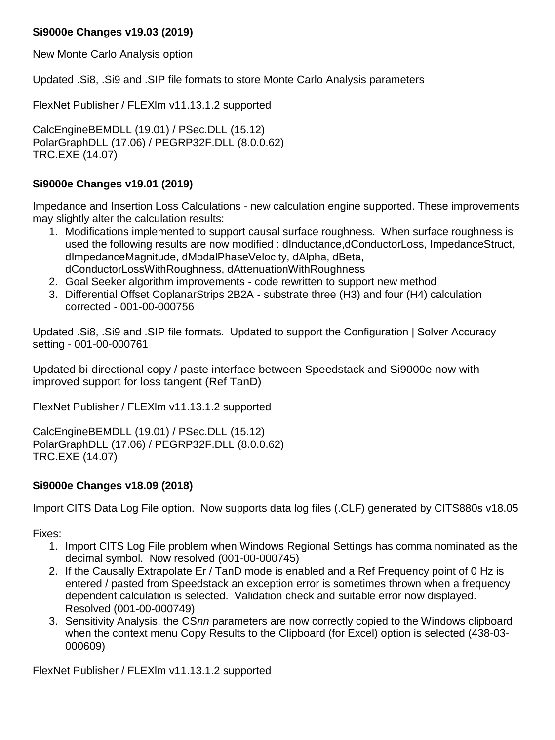## **Si9000e Changes v19.03 (2019)**

New Monte Carlo Analysis option

Updated .Si8, .Si9 and .SIP file formats to store Monte Carlo Analysis parameters

FlexNet Publisher / FLEXlm v11.13.1.2 supported

CalcEngineBEMDLL (19.01) / PSec.DLL (15.12) PolarGraphDLL (17.06) / PEGRP32F.DLL (8.0.0.62) TRC.EXE (14.07)

### **Si9000e Changes v19.01 (2019)**

Impedance and Insertion Loss Calculations - new calculation engine supported. These improvements may slightly alter the calculation results:

- 1. Modifications implemented to support causal surface roughness. When surface roughness is used the following results are now modified : dInductance,dConductorLoss, ImpedanceStruct, dImpedanceMagnitude, dModalPhaseVelocity, dAlpha, dBeta, dConductorLossWithRoughness, dAttenuationWithRoughness
- 2. Goal Seeker algorithm improvements code rewritten to support new method
- 3. Differential Offset CoplanarStrips 2B2A substrate three (H3) and four (H4) calculation corrected - 001-00-000756

Updated .Si8, .Si9 and .SIP file formats. Updated to support the Configuration | Solver Accuracy setting - 001-00-000761

Updated bi-directional copy / paste interface between Speedstack and Si9000e now with improved support for loss tangent (Ref TanD)

FlexNet Publisher / FLEXlm v11.13.1.2 supported

CalcEngineBEMDLL (19.01) / PSec.DLL (15.12) PolarGraphDLL (17.06) / PEGRP32F.DLL (8.0.0.62) TRC.EXE (14.07)

### **Si9000e Changes v18.09 (2018)**

Import CITS Data Log File option. Now supports data log files (.CLF) generated by CITS880s v18.05

Fixes:

- 1. Import CITS Log File problem when Windows Regional Settings has comma nominated as the decimal symbol. Now resolved (001-00-000745)
- 2. If the Causally Extrapolate Er / TanD mode is enabled and a Ref Frequency point of 0 Hz is entered / pasted from Speedstack an exception error is sometimes thrown when a frequency dependent calculation is selected. Validation check and suitable error now displayed. Resolved (001-00-000749)
- 3. Sensitivity Analysis, the CS*nn* parameters are now correctly copied to the Windows clipboard when the context menu Copy Results to the Clipboard (for Excel) option is selected (438-03- 000609)

FlexNet Publisher / FLEXlm v11.13.1.2 supported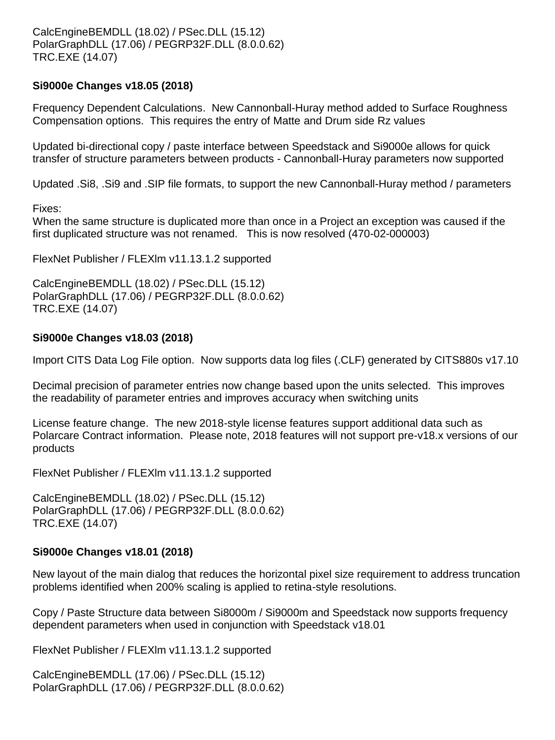## **Si9000e Changes v18.05 (2018)**

Frequency Dependent Calculations. New Cannonball-Huray method added to Surface Roughness Compensation options. This requires the entry of Matte and Drum side Rz values

Updated bi-directional copy / paste interface between Speedstack and Si9000e allows for quick transfer of structure parameters between products - Cannonball-Huray parameters now supported

Updated .Si8, .Si9 and .SIP file formats, to support the new Cannonball-Huray method / parameters

Fixes:

When the same structure is duplicated more than once in a Project an exception was caused if the first duplicated structure was not renamed. This is now resolved (470-02-000003)

FlexNet Publisher / FLEXlm v11.13.1.2 supported

CalcEngineBEMDLL (18.02) / PSec.DLL (15.12) PolarGraphDLL (17.06) / PEGRP32F.DLL (8.0.0.62) TRC.EXE (14.07)

### **Si9000e Changes v18.03 (2018)**

Import CITS Data Log File option. Now supports data log files (.CLF) generated by CITS880s v17.10

Decimal precision of parameter entries now change based upon the units selected. This improves the readability of parameter entries and improves accuracy when switching units

License feature change. The new 2018-style license features support additional data such as Polarcare Contract information. Please note, 2018 features will not support pre-v18.x versions of our products

FlexNet Publisher / FLEXlm v11.13.1.2 supported

CalcEngineBEMDLL (18.02) / PSec.DLL (15.12) PolarGraphDLL (17.06) / PEGRP32F.DLL (8.0.0.62) TRC.EXE (14.07)

### **Si9000e Changes v18.01 (2018)**

New layout of the main dialog that reduces the horizontal pixel size requirement to address truncation problems identified when 200% scaling is applied to retina-style resolutions.

Copy / Paste Structure data between Si8000m / Si9000m and Speedstack now supports frequency dependent parameters when used in conjunction with Speedstack v18.01

FlexNet Publisher / FLEXlm v11.13.1.2 supported

CalcEngineBEMDLL (17.06) / PSec.DLL (15.12) PolarGraphDLL (17.06) / PEGRP32F.DLL (8.0.0.62)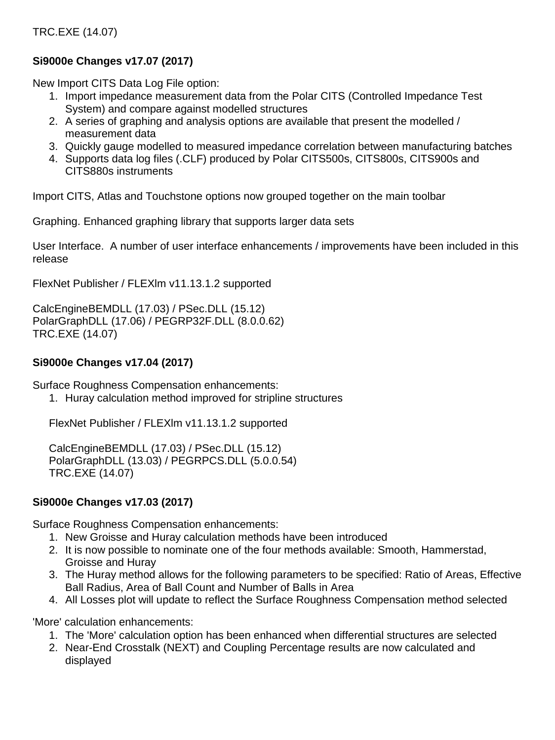## TRC.EXE (14.07)

## **Si9000e Changes v17.07 (2017)**

New Import CITS Data Log File option:

- 1. Import impedance measurement data from the Polar CITS (Controlled Impedance Test System) and compare against modelled structures
- 2. A series of graphing and analysis options are available that present the modelled / measurement data
- 3. Quickly gauge modelled to measured impedance correlation between manufacturing batches
- 4. Supports data log files (.CLF) produced by Polar CITS500s, CITS800s, CITS900s and CITS880s instruments

Import CITS, Atlas and Touchstone options now grouped together on the main toolbar

Graphing. Enhanced graphing library that supports larger data sets

User Interface. A number of user interface enhancements / improvements have been included in this release

FlexNet Publisher / FLEXlm v11.13.1.2 supported

CalcEngineBEMDLL (17.03) / PSec.DLL (15.12) PolarGraphDLL (17.06) / PEGRP32F.DLL (8.0.0.62) TRC.EXE (14.07)

### **Si9000e Changes v17.04 (2017)**

Surface Roughness Compensation enhancements:

1. Huray calculation method improved for stripline structures

FlexNet Publisher / FLEXlm v11.13.1.2 supported

CalcEngineBEMDLL (17.03) / PSec.DLL (15.12) PolarGraphDLL (13.03) / PEGRPCS.DLL (5.0.0.54) TRC.EXE (14.07)

### **Si9000e Changes v17.03 (2017)**

Surface Roughness Compensation enhancements:

- 1. New Groisse and Huray calculation methods have been introduced
- 2. It is now possible to nominate one of the four methods available: Smooth, Hammerstad, Groisse and Huray
- 3. The Huray method allows for the following parameters to be specified: Ratio of Areas, Effective Ball Radius, Area of Ball Count and Number of Balls in Area
- 4. All Losses plot will update to reflect the Surface Roughness Compensation method selected

'More' calculation enhancements:

- 1. The 'More' calculation option has been enhanced when differential structures are selected
- 2. Near-End Crosstalk (NEXT) and Coupling Percentage results are now calculated and displayed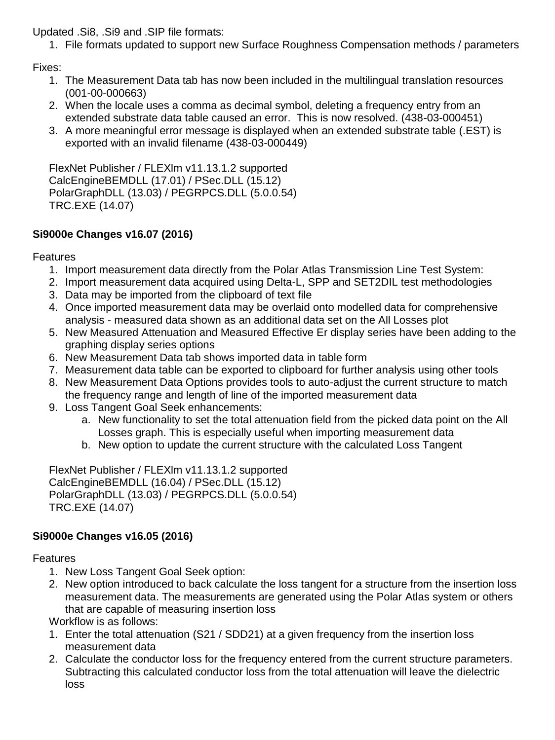Updated .Si8, .Si9 and .SIP file formats:

1. File formats updated to support new Surface Roughness Compensation methods / parameters

Fixes:

- 1. The Measurement Data tab has now been included in the multilingual translation resources (001-00-000663)
- 2. When the locale uses a comma as decimal symbol, deleting a frequency entry from an extended substrate data table caused an error. This is now resolved. (438-03-000451)
- 3. A more meaningful error message is displayed when an extended substrate table (.EST) is exported with an invalid filename (438-03-000449)

FlexNet Publisher / FLEXlm v11.13.1.2 supported CalcEngineBEMDLL (17.01) / PSec.DLL (15.12) PolarGraphDLL (13.03) / PEGRPCS.DLL (5.0.0.54) TRC.EXE (14.07)

## **Si9000e Changes v16.07 (2016)**

Features

- 1. Import measurement data directly from the Polar Atlas Transmission Line Test System:
- 2. Import measurement data acquired using Delta-L, SPP and SET2DIL test methodologies
- 3. Data may be imported from the clipboard of text file
- 4. Once imported measurement data may be overlaid onto modelled data for comprehensive analysis - measured data shown as an additional data set on the All Losses plot
- 5. New Measured Attenuation and Measured Effective Er display series have been adding to the graphing display series options
- 6. New Measurement Data tab shows imported data in table form
- 7. Measurement data table can be exported to clipboard for further analysis using other tools
- 8. New Measurement Data Options provides tools to auto-adjust the current structure to match the frequency range and length of line of the imported measurement data
- 9. Loss Tangent Goal Seek enhancements:
	- a. New functionality to set the total attenuation field from the picked data point on the All Losses graph. This is especially useful when importing measurement data
	- b. New option to update the current structure with the calculated Loss Tangent

FlexNet Publisher / FLEXlm v11.13.1.2 supported CalcEngineBEMDLL (16.04) / PSec.DLL (15.12) PolarGraphDLL (13.03) / PEGRPCS.DLL (5.0.0.54) TRC.EXE (14.07)

## **Si9000e Changes v16.05 (2016)**

Features

- 1. New Loss Tangent Goal Seek option:
- 2. New option introduced to back calculate the loss tangent for a structure from the insertion loss measurement data. The measurements are generated using the Polar Atlas system or others that are capable of measuring insertion loss

Workflow is as follows:

- 1. Enter the total attenuation (S21 / SDD21) at a given frequency from the insertion loss measurement data
- 2. Calculate the conductor loss for the frequency entered from the current structure parameters. Subtracting this calculated conductor loss from the total attenuation will leave the dielectric loss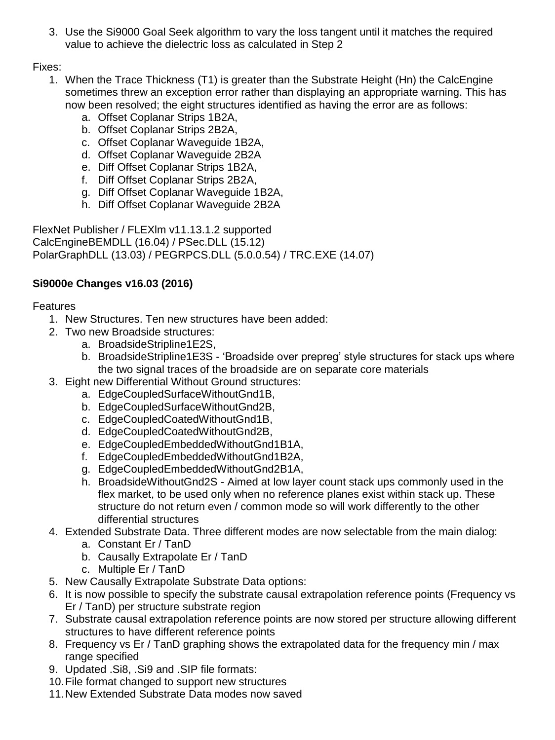3. Use the Si9000 Goal Seek algorithm to vary the loss tangent until it matches the required value to achieve the dielectric loss as calculated in Step 2

Fixes:

- 1. When the Trace Thickness (T1) is greater than the Substrate Height (Hn) the CalcEngine sometimes threw an exception error rather than displaying an appropriate warning. This has now been resolved; the eight structures identified as having the error are as follows:
	- a. Offset Coplanar Strips 1B2A,
	- b. Offset Coplanar Strips 2B2A,
	- c. Offset Coplanar Waveguide 1B2A,
	- d. Offset Coplanar Waveguide 2B2A
	- e. Diff Offset Coplanar Strips 1B2A,
	- f. Diff Offset Coplanar Strips 2B2A,
	- g. Diff Offset Coplanar Waveguide 1B2A,
	- h. Diff Offset Coplanar Waveguide 2B2A

FlexNet Publisher / FLEXlm v11.13.1.2 supported CalcEngineBEMDLL (16.04) / PSec.DLL (15.12) PolarGraphDLL (13.03) / PEGRPCS.DLL (5.0.0.54) / TRC.EXE (14.07)

## **Si9000e Changes v16.03 (2016)**

- 1. New Structures. Ten new structures have been added:
- 2. Two new Broadside structures:
	- a. BroadsideStripline1E2S,
	- b. BroadsideStripline1E3S 'Broadside over prepreg' style structures for stack ups where the two signal traces of the broadside are on separate core materials
- 3. Eight new Differential Without Ground structures:
	- a. EdgeCoupledSurfaceWithoutGnd1B,
	- b. EdgeCoupledSurfaceWithoutGnd2B,
	- c. EdgeCoupledCoatedWithoutGnd1B,
	- d. EdgeCoupledCoatedWithoutGnd2B,
	- e. EdgeCoupledEmbeddedWithoutGnd1B1A,
	- f. EdgeCoupledEmbeddedWithoutGnd1B2A,
	- g. EdgeCoupledEmbeddedWithoutGnd2B1A,
	- h. BroadsideWithoutGnd2S Aimed at low layer count stack ups commonly used in the flex market, to be used only when no reference planes exist within stack up. These structure do not return even / common mode so will work differently to the other differential structures
- 4. Extended Substrate Data. Three different modes are now selectable from the main dialog:
	- a. Constant Er / TanD
	- b. Causally Extrapolate Er / TanD
	- c. Multiple Er / TanD
- 5. New Causally Extrapolate Substrate Data options:
- 6. It is now possible to specify the substrate causal extrapolation reference points (Frequency vs Er / TanD) per structure substrate region
- 7. Substrate causal extrapolation reference points are now stored per structure allowing different structures to have different reference points
- 8. Frequency vs Er / TanD graphing shows the extrapolated data for the frequency min / max range specified
- 9. Updated .Si8, .Si9 and .SIP file formats:
- 10.File format changed to support new structures
- 11.New Extended Substrate Data modes now saved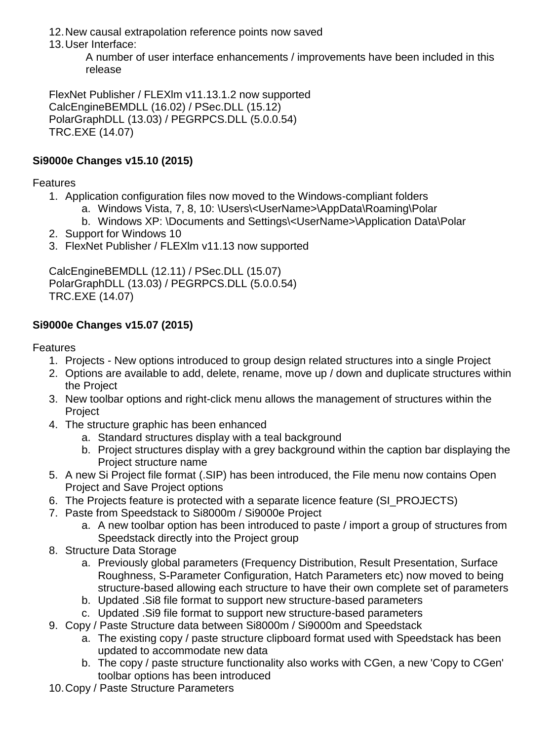12.New causal extrapolation reference points now saved

13.User Interface:

A number of user interface enhancements / improvements have been included in this release

FlexNet Publisher / FLEXlm v11.13.1.2 now supported CalcEngineBEMDLL (16.02) / PSec.DLL (15.12) PolarGraphDLL (13.03) / PEGRPCS.DLL (5.0.0.54) TRC.EXE (14.07)

## **Si9000e Changes v15.10 (2015)**

**Features** 

- 1. Application configuration files now moved to the Windows-compliant folders
	- a. Windows Vista, 7, 8, 10: \Users\<UserName>\AppData\Roaming\Polar
	- b. Windows XP: \Documents and Settings\<UserName>\Application Data\Polar
- 2. Support for Windows 10
- 3. FlexNet Publisher / FLEXlm v11.13 now supported

CalcEngineBEMDLL (12.11) / PSec.DLL (15.07) PolarGraphDLL (13.03) / PEGRPCS.DLL (5.0.0.54) TRC.EXE (14.07)

## **Si9000e Changes v15.07 (2015)**

- 1. Projects New options introduced to group design related structures into a single Project
- 2. Options are available to add, delete, rename, move up / down and duplicate structures within the Project
- 3. New toolbar options and right-click menu allows the management of structures within the Project
- 4. The structure graphic has been enhanced
	- a. Standard structures display with a teal background
	- b. Project structures display with a grey background within the caption bar displaying the Project structure name
- 5. A new Si Project file format (.SIP) has been introduced, the File menu now contains Open Project and Save Project options
- 6. The Projects feature is protected with a separate licence feature (SI\_PROJECTS)
- 7. Paste from Speedstack to Si8000m / Si9000e Project
	- a. A new toolbar option has been introduced to paste / import a group of structures from Speedstack directly into the Project group
- 8. Structure Data Storage
	- a. Previously global parameters (Frequency Distribution, Result Presentation, Surface Roughness, S-Parameter Configuration, Hatch Parameters etc) now moved to being structure-based allowing each structure to have their own complete set of parameters
	- b. Updated .Si8 file format to support new structure-based parameters
	- c. Updated .Si9 file format to support new structure-based parameters
- 9. Copy / Paste Structure data between Si8000m / Si9000m and Speedstack
	- a. The existing copy / paste structure clipboard format used with Speedstack has been updated to accommodate new data
	- b. The copy / paste structure functionality also works with CGen, a new 'Copy to CGen' toolbar options has been introduced
- 10.Copy / Paste Structure Parameters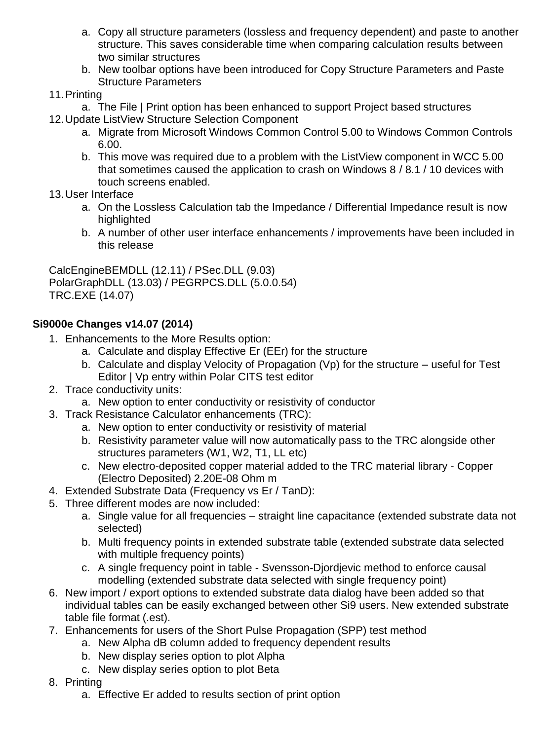- a. Copy all structure parameters (lossless and frequency dependent) and paste to another structure. This saves considerable time when comparing calculation results between two similar structures
- b. New toolbar options have been introduced for Copy Structure Parameters and Paste Structure Parameters

## 11.Printing

- a. The File | Print option has been enhanced to support Project based structures
- 12.Update ListView Structure Selection Component
	- a. Migrate from Microsoft Windows Common Control 5.00 to Windows Common Controls 6.00.
	- b. This move was required due to a problem with the ListView component in WCC 5.00 that sometimes caused the application to crash on Windows 8 / 8.1 / 10 devices with touch screens enabled.
- 13.User Interface
	- a. On the Lossless Calculation tab the Impedance / Differential Impedance result is now highlighted
	- b. A number of other user interface enhancements / improvements have been included in this release

CalcEngineBEMDLL (12.11) / PSec.DLL (9.03) PolarGraphDLL (13.03) / PEGRPCS.DLL (5.0.0.54) TRC.EXE (14.07)

## **Si9000e Changes v14.07 (2014)**

- 1. Enhancements to the More Results option:
	- a. Calculate and display Effective Er (EEr) for the structure
	- b. Calculate and display Velocity of Propagation (Vp) for the structure useful for Test Editor | Vp entry within Polar CITS test editor
- 2. Trace conductivity units:
	- a. New option to enter conductivity or resistivity of conductor
- 3. Track Resistance Calculator enhancements (TRC):
	- a. New option to enter conductivity or resistivity of material
	- b. Resistivity parameter value will now automatically pass to the TRC alongside other structures parameters (W1, W2, T1, LL etc)
	- c. New electro-deposited copper material added to the TRC material library Copper (Electro Deposited) 2.20E-08 Ohm m
- 4. Extended Substrate Data (Frequency vs Er / TanD):
- 5. Three different modes are now included:
	- a. Single value for all frequencies straight line capacitance (extended substrate data not selected)
	- b. Multi frequency points in extended substrate table (extended substrate data selected with multiple frequency points)
	- c. A single frequency point in table Svensson-Djordjevic method to enforce causal modelling (extended substrate data selected with single frequency point)
- 6. New import / export options to extended substrate data dialog have been added so that individual tables can be easily exchanged between other Si9 users. New extended substrate table file format (.est).
- 7. Enhancements for users of the Short Pulse Propagation (SPP) test method
	- a. New Alpha dB column added to frequency dependent results
		- b. New display series option to plot Alpha
		- c. New display series option to plot Beta
- 8. Printing
	- a. Effective Er added to results section of print option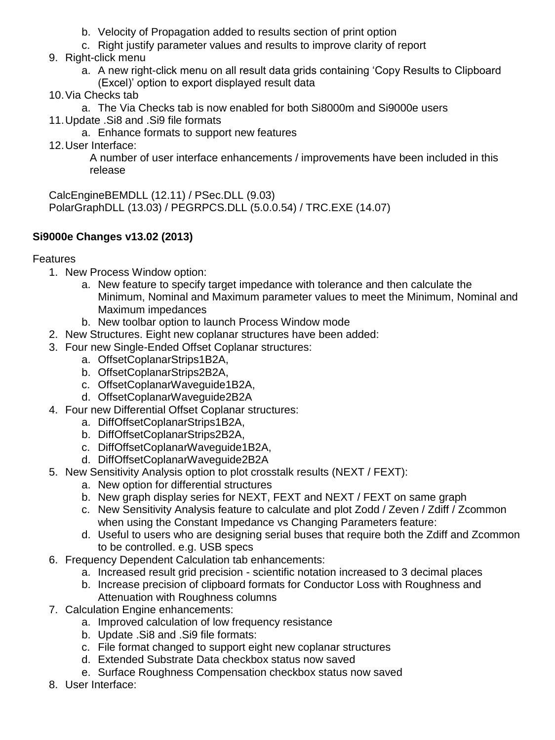- b. Velocity of Propagation added to results section of print option
- c. Right justify parameter values and results to improve clarity of report
- 9. Right-click menu
	- a. A new right-click menu on all result data grids containing 'Copy Results to Clipboard (Excel)' option to export displayed result data
- 10.Via Checks tab
- a. The Via Checks tab is now enabled for both Si8000m and Si9000e users
- 11.Update .Si8 and .Si9 file formats
	- a. Enhance formats to support new features
- 12.User Interface:

A number of user interface enhancements / improvements have been included in this release

CalcEngineBEMDLL (12.11) / PSec.DLL (9.03) PolarGraphDLL (13.03) / PEGRPCS.DLL (5.0.0.54) / TRC.EXE (14.07)

## **Si9000e Changes v13.02 (2013)**

- 1. New Process Window option:
	- a. New feature to specify target impedance with tolerance and then calculate the Minimum, Nominal and Maximum parameter values to meet the Minimum, Nominal and Maximum impedances
	- b. New toolbar option to launch Process Window mode
- 2. New Structures. Eight new coplanar structures have been added:
- 3. Four new Single-Ended Offset Coplanar structures:
	- a. OffsetCoplanarStrips1B2A,
	- b. OffsetCoplanarStrips2B2A,
	- c. OffsetCoplanarWaveguide1B2A,
	- d. OffsetCoplanarWaveguide2B2A
- 4. Four new Differential Offset Coplanar structures:
	- a. DiffOffsetCoplanarStrips1B2A,
	- b. DiffOffsetCoplanarStrips2B2A,
	- c. DiffOffsetCoplanarWaveguide1B2A,
	- d. DiffOffsetCoplanarWaveguide2B2A
- 5. New Sensitivity Analysis option to plot crosstalk results (NEXT / FEXT):
	- a. New option for differential structures
	- b. New graph display series for NEXT, FEXT and NEXT / FEXT on same graph
	- c. New Sensitivity Analysis feature to calculate and plot Zodd / Zeven / Zdiff / Zcommon when using the Constant Impedance vs Changing Parameters feature:
	- d. Useful to users who are designing serial buses that require both the Zdiff and Zcommon to be controlled. e.g. USB specs
- 6. Frequency Dependent Calculation tab enhancements:
	- a. Increased result grid precision scientific notation increased to 3 decimal places
	- b. Increase precision of clipboard formats for Conductor Loss with Roughness and Attenuation with Roughness columns
- 7. Calculation Engine enhancements:
	- a. Improved calculation of low frequency resistance
	- b. Update .Si8 and .Si9 file formats:
	- c. File format changed to support eight new coplanar structures
	- d. Extended Substrate Data checkbox status now saved
	- e. Surface Roughness Compensation checkbox status now saved
- 8. User Interface: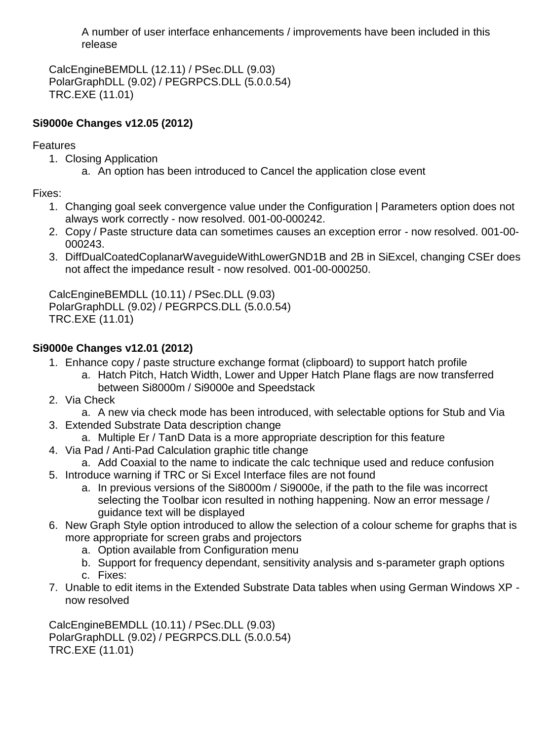A number of user interface enhancements / improvements have been included in this release

CalcEngineBEMDLL (12.11) / PSec.DLL (9.03) PolarGraphDLL (9.02) / PEGRPCS.DLL (5.0.0.54) TRC.EXE (11.01)

## **Si9000e Changes v12.05 (2012)**

## Features

- 1. Closing Application
	- a. An option has been introduced to Cancel the application close event

Fixes:

- 1. Changing goal seek convergence value under the Configuration | Parameters option does not always work correctly - now resolved. 001-00-000242.
- 2. Copy / Paste structure data can sometimes causes an exception error now resolved. 001-00- 000243.
- 3. DiffDualCoatedCoplanarWaveguideWithLowerGND1B and 2B in SiExcel, changing CSEr does not affect the impedance result - now resolved. 001-00-000250.

CalcEngineBEMDLL (10.11) / PSec.DLL (9.03) PolarGraphDLL (9.02) / PEGRPCS.DLL (5.0.0.54) TRC.EXE (11.01)

## **Si9000e Changes v12.01 (2012)**

- 1. Enhance copy / paste structure exchange format (clipboard) to support hatch profile
	- a. Hatch Pitch, Hatch Width, Lower and Upper Hatch Plane flags are now transferred between Si8000m / Si9000e and Speedstack
- 2. Via Check
	- a. A new via check mode has been introduced, with selectable options for Stub and Via
- 3. Extended Substrate Data description change
	- a. Multiple Er / TanD Data is a more appropriate description for this feature
- 4. Via Pad / Anti-Pad Calculation graphic title change
- a. Add Coaxial to the name to indicate the calc technique used and reduce confusion
- 5. Introduce warning if TRC or Si Excel Interface files are not found
	- a. In previous versions of the Si8000m / Si9000e, if the path to the file was incorrect selecting the Toolbar icon resulted in nothing happening. Now an error message / guidance text will be displayed
- 6. New Graph Style option introduced to allow the selection of a colour scheme for graphs that is more appropriate for screen grabs and projectors
	- a. Option available from Configuration menu
	- b. Support for frequency dependant, sensitivity analysis and s-parameter graph options c. Fixes:
- 7. Unable to edit items in the Extended Substrate Data tables when using German Windows XP now resolved

CalcEngineBEMDLL (10.11) / PSec.DLL (9.03) PolarGraphDLL (9.02) / PEGRPCS.DLL (5.0.0.54) TRC.EXE (11.01)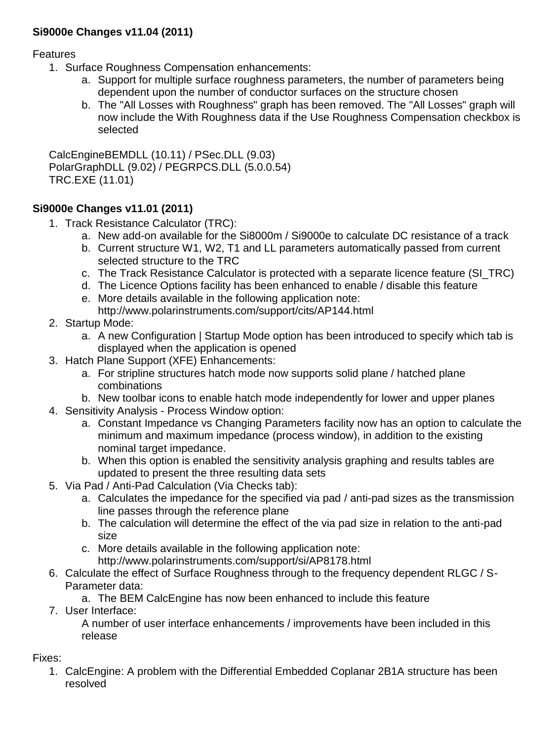## **Si9000e Changes v11.04 (2011)**

Features

- 1. Surface Roughness Compensation enhancements:
	- a. Support for multiple surface roughness parameters, the number of parameters being dependent upon the number of conductor surfaces on the structure chosen
	- b. The "All Losses with Roughness" graph has been removed. The "All Losses" graph will now include the With Roughness data if the Use Roughness Compensation checkbox is selected

CalcEngineBEMDLL (10.11) / PSec.DLL (9.03) PolarGraphDLL (9.02) / PEGRPCS.DLL (5.0.0.54) TRC.EXE (11.01)

## **Si9000e Changes v11.01 (2011)**

- 1. Track Resistance Calculator (TRC):
	- a. New add-on available for the Si8000m / Si9000e to calculate DC resistance of a track
	- b. Current structure W1, W2, T1 and LL parameters automatically passed from current selected structure to the TRC
	- c. The Track Resistance Calculator is protected with a separate licence feature (SI\_TRC)
	- d. The Licence Options facility has been enhanced to enable / disable this feature
	- e. More details available in the following application note: http://www.polarinstruments.com/support/cits/AP144.html
- 2. Startup Mode:
	- a. A new Configuration | Startup Mode option has been introduced to specify which tab is displayed when the application is opened
- 3. Hatch Plane Support (XFE) Enhancements:
	- a. For stripline structures hatch mode now supports solid plane / hatched plane combinations
	- b. New toolbar icons to enable hatch mode independently for lower and upper planes
- 4. Sensitivity Analysis Process Window option:
	- a. Constant Impedance vs Changing Parameters facility now has an option to calculate the minimum and maximum impedance (process window), in addition to the existing nominal target impedance.
	- b. When this option is enabled the sensitivity analysis graphing and results tables are updated to present the three resulting data sets
- 5. Via Pad / Anti-Pad Calculation (Via Checks tab):
	- a. Calculates the impedance for the specified via pad / anti-pad sizes as the transmission line passes through the reference plane
	- b. The calculation will determine the effect of the via pad size in relation to the anti-pad size
	- c. More details available in the following application note: http://www.polarinstruments.com/support/si/AP8178.html
- 6. Calculate the effect of Surface Roughness through to the frequency dependent RLGC / S-Parameter data:
	- a. The BEM CalcEngine has now been enhanced to include this feature
- 7. User Interface:

A number of user interface enhancements / improvements have been included in this release

Fixes:

1. CalcEngine: A problem with the Differential Embedded Coplanar 2B1A structure has been resolved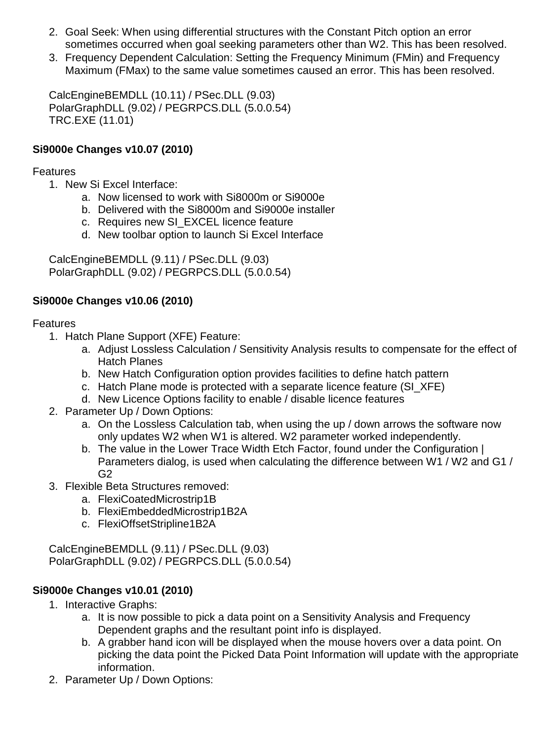- 2. Goal Seek: When using differential structures with the Constant Pitch option an error sometimes occurred when goal seeking parameters other than W2. This has been resolved.
- 3. Frequency Dependent Calculation: Setting the Frequency Minimum (FMin) and Frequency Maximum (FMax) to the same value sometimes caused an error. This has been resolved.

CalcEngineBEMDLL (10.11) / PSec.DLL (9.03) PolarGraphDLL (9.02) / PEGRPCS.DLL (5.0.0.54) TRC.EXE (11.01)

## **Si9000e Changes v10.07 (2010)**

### Features

- 1. New Si Excel Interface:
	- a. Now licensed to work with Si8000m or Si9000e
	- b. Delivered with the Si8000m and Si9000e installer
	- c. Requires new SI\_EXCEL licence feature
	- d. New toolbar option to launch Si Excel Interface

CalcEngineBEMDLL (9.11) / PSec.DLL (9.03) PolarGraphDLL (9.02) / PEGRPCS.DLL (5.0.0.54)

## **Si9000e Changes v10.06 (2010)**

## Features

- 1. Hatch Plane Support (XFE) Feature:
	- a. Adjust Lossless Calculation / Sensitivity Analysis results to compensate for the effect of Hatch Planes
	- b. New Hatch Configuration option provides facilities to define hatch pattern
	- c. Hatch Plane mode is protected with a separate licence feature (SI\_XFE)
	- d. New Licence Options facility to enable / disable licence features
- 2. Parameter Up / Down Options:
	- a. On the Lossless Calculation tab, when using the up / down arrows the software now only updates W2 when W1 is altered. W2 parameter worked independently.
	- b. The value in the Lower Trace Width Etch Factor, found under the Configuration | Parameters dialog, is used when calculating the difference between W1 / W2 and G1 / G2
- 3. Flexible Beta Structures removed:
	- a. FlexiCoatedMicrostrip1B
	- b. FlexiEmbeddedMicrostrip1B2A
	- c. FlexiOffsetStripline1B2A

CalcEngineBEMDLL (9.11) / PSec.DLL (9.03) PolarGraphDLL (9.02) / PEGRPCS.DLL (5.0.0.54)

## **Si9000e Changes v10.01 (2010)**

- 1. Interactive Graphs:
	- a. It is now possible to pick a data point on a Sensitivity Analysis and Frequency Dependent graphs and the resultant point info is displayed.
	- b. A grabber hand icon will be displayed when the mouse hovers over a data point. On picking the data point the Picked Data Point Information will update with the appropriate information.
- 2. Parameter Up / Down Options: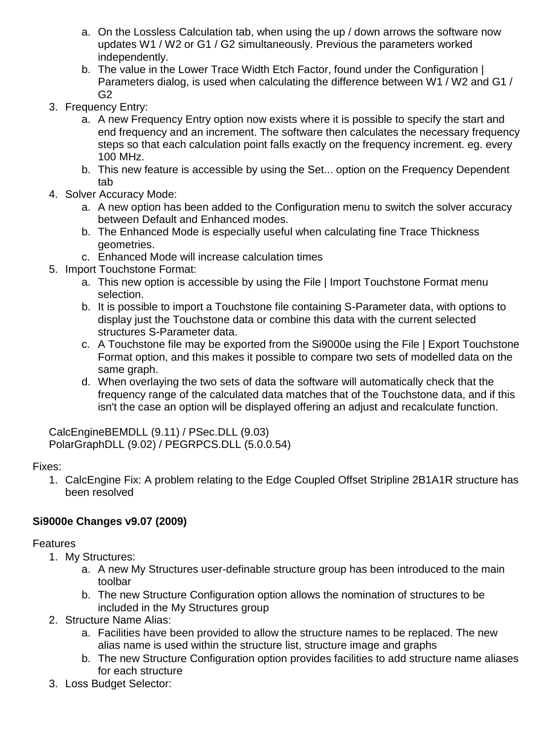- a. On the Lossless Calculation tab, when using the up / down arrows the software now updates W1 / W2 or G1 / G2 simultaneously. Previous the parameters worked independently.
- b. The value in the Lower Trace Width Etch Factor, found under the Configuration I Parameters dialog, is used when calculating the difference between W1 / W2 and G1 / G2
- 3. Frequency Entry:
	- a. A new Frequency Entry option now exists where it is possible to specify the start and end frequency and an increment. The software then calculates the necessary frequency steps so that each calculation point falls exactly on the frequency increment. eg. every 100 MHz.
	- b. This new feature is accessible by using the Set... option on the Frequency Dependent tab
- 4. Solver Accuracy Mode:
	- a. A new option has been added to the Configuration menu to switch the solver accuracy between Default and Enhanced modes.
	- b. The Enhanced Mode is especially useful when calculating fine Trace Thickness geometries.
	- c. Enhanced Mode will increase calculation times
- 5. Import Touchstone Format:
	- a. This new option is accessible by using the File | Import Touchstone Format menu selection.
	- b. It is possible to import a Touchstone file containing S-Parameter data, with options to display just the Touchstone data or combine this data with the current selected structures S-Parameter data.
	- c. A Touchstone file may be exported from the Si9000e using the File | Export Touchstone Format option, and this makes it possible to compare two sets of modelled data on the same graph.
	- d. When overlaying the two sets of data the software will automatically check that the frequency range of the calculated data matches that of the Touchstone data, and if this isn't the case an option will be displayed offering an adjust and recalculate function.

CalcEngineBEMDLL (9.11) / PSec.DLL (9.03) PolarGraphDLL (9.02) / PEGRPCS.DLL (5.0.0.54)

## Fixes:

1. CalcEngine Fix: A problem relating to the Edge Coupled Offset Stripline 2B1A1R structure has been resolved

## **Si9000e Changes v9.07 (2009)**

- 1. My Structures:
	- a. A new My Structures user-definable structure group has been introduced to the main toolbar
	- b. The new Structure Configuration option allows the nomination of structures to be included in the My Structures group
- 2. Structure Name Alias:
	- a. Facilities have been provided to allow the structure names to be replaced. The new alias name is used within the structure list, structure image and graphs
	- b. The new Structure Configuration option provides facilities to add structure name aliases for each structure
- 3. Loss Budget Selector: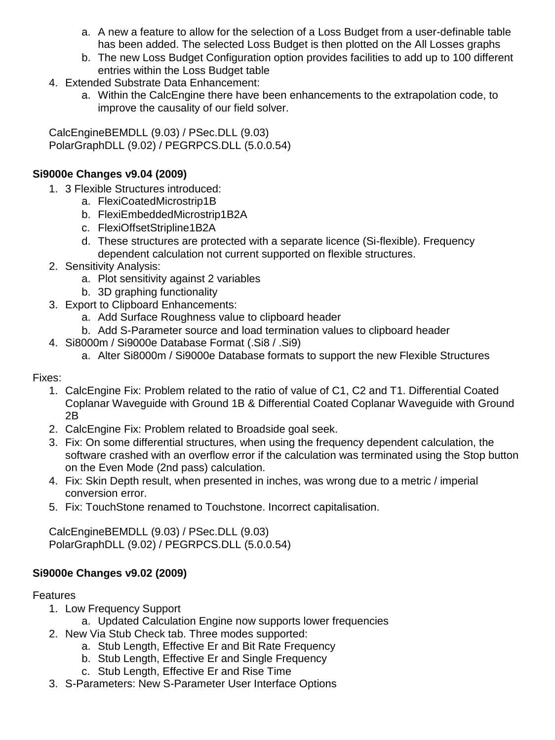- a. A new a feature to allow for the selection of a Loss Budget from a user-definable table has been added. The selected Loss Budget is then plotted on the All Losses graphs
- b. The new Loss Budget Configuration option provides facilities to add up to 100 different entries within the Loss Budget table
- 4. Extended Substrate Data Enhancement:
	- a. Within the CalcEngine there have been enhancements to the extrapolation code, to improve the causality of our field solver.

CalcEngineBEMDLL (9.03) / PSec.DLL (9.03) PolarGraphDLL (9.02) / PEGRPCS.DLL (5.0.0.54)

## **Si9000e Changes v9.04 (2009)**

- 1. 3 Flexible Structures introduced:
	- a. FlexiCoatedMicrostrip1B
	- b. FlexiEmbeddedMicrostrip1B2A
	- c. FlexiOffsetStripline1B2A
	- d. These structures are protected with a separate licence (Si-flexible). Frequency dependent calculation not current supported on flexible structures.
- 2. Sensitivity Analysis:
	- a. Plot sensitivity against 2 variables
	- b. 3D graphing functionality
- 3. Export to Clipboard Enhancements:
	- a. Add Surface Roughness value to clipboard header
	- b. Add S-Parameter source and load termination values to clipboard header
- 4. Si8000m / Si9000e Database Format (.Si8 / .Si9)
	- a. Alter Si8000m / Si9000e Database formats to support the new Flexible Structures

### Fixes:

- 1. CalcEngine Fix: Problem related to the ratio of value of C1, C2 and T1. Differential Coated Coplanar Waveguide with Ground 1B & Differential Coated Coplanar Waveguide with Ground 2B
- 2. CalcEngine Fix: Problem related to Broadside goal seek.
- 3. Fix: On some differential structures, when using the frequency dependent calculation, the software crashed with an overflow error if the calculation was terminated using the Stop button on the Even Mode (2nd pass) calculation.
- 4. Fix: Skin Depth result, when presented in inches, was wrong due to a metric / imperial conversion error.
- 5. Fix: TouchStone renamed to Touchstone. Incorrect capitalisation.

CalcEngineBEMDLL (9.03) / PSec.DLL (9.03) PolarGraphDLL (9.02) / PEGRPCS.DLL (5.0.0.54)

## **Si9000e Changes v9.02 (2009)**

- 1. Low Frequency Support
	- a. Updated Calculation Engine now supports lower frequencies
- 2. New Via Stub Check tab. Three modes supported:
	- a. Stub Length, Effective Er and Bit Rate Frequency
	- b. Stub Length, Effective Er and Single Frequency
	- c. Stub Length, Effective Er and Rise Time
- 3. S-Parameters: New S-Parameter User Interface Options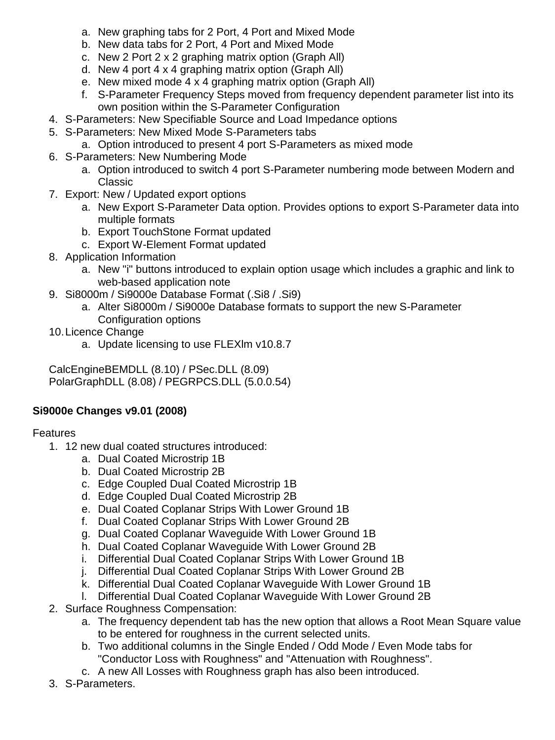- a. New graphing tabs for 2 Port, 4 Port and Mixed Mode
- b. New data tabs for 2 Port, 4 Port and Mixed Mode
- c. New 2 Port 2 x 2 graphing matrix option (Graph All)
- d. New 4 port 4 x 4 graphing matrix option (Graph All)
- e. New mixed mode 4 x 4 graphing matrix option (Graph All)
- f. S-Parameter Frequency Steps moved from frequency dependent parameter list into its own position within the S-Parameter Configuration
- 4. S-Parameters: New Specifiable Source and Load Impedance options
- 5. S-Parameters: New Mixed Mode S-Parameters tabs
	- a. Option introduced to present 4 port S-Parameters as mixed mode
- 6. S-Parameters: New Numbering Mode
	- a. Option introduced to switch 4 port S-Parameter numbering mode between Modern and Classic
- 7. Export: New / Updated export options
	- a. New Export S-Parameter Data option. Provides options to export S-Parameter data into multiple formats
	- b. Export TouchStone Format updated
	- c. Export W-Element Format updated
- 8. Application Information
	- a. New "i" buttons introduced to explain option usage which includes a graphic and link to web-based application note
- 9. Si8000m / Si9000e Database Format (.Si8 / .Si9)
	- a. Alter Si8000m / Si9000e Database formats to support the new S-Parameter Configuration options
- 10.Licence Change
	- a. Update licensing to use FLEXlm v10.8.7

CalcEngineBEMDLL (8.10) / PSec.DLL (8.09) PolarGraphDLL (8.08) / PEGRPCS.DLL (5.0.0.54)

## **Si9000e Changes v9.01 (2008)**

- 1. 12 new dual coated structures introduced:
	- a. Dual Coated Microstrip 1B
	- b. Dual Coated Microstrip 2B
	- c. Edge Coupled Dual Coated Microstrip 1B
	- d. Edge Coupled Dual Coated Microstrip 2B
	- e. Dual Coated Coplanar Strips With Lower Ground 1B
	- f. Dual Coated Coplanar Strips With Lower Ground 2B
	- g. Dual Coated Coplanar Waveguide With Lower Ground 1B
	- h. Dual Coated Coplanar Waveguide With Lower Ground 2B
	- i. Differential Dual Coated Coplanar Strips With Lower Ground 1B
	- j. Differential Dual Coated Coplanar Strips With Lower Ground 2B
	- k. Differential Dual Coated Coplanar Waveguide With Lower Ground 1B
	- l. Differential Dual Coated Coplanar Waveguide With Lower Ground 2B
- 2. Surface Roughness Compensation:
	- a. The frequency dependent tab has the new option that allows a Root Mean Square value to be entered for roughness in the current selected units.
	- b. Two additional columns in the Single Ended / Odd Mode / Even Mode tabs for "Conductor Loss with Roughness" and "Attenuation with Roughness".
	- c. A new All Losses with Roughness graph has also been introduced.
- 3. S-Parameters.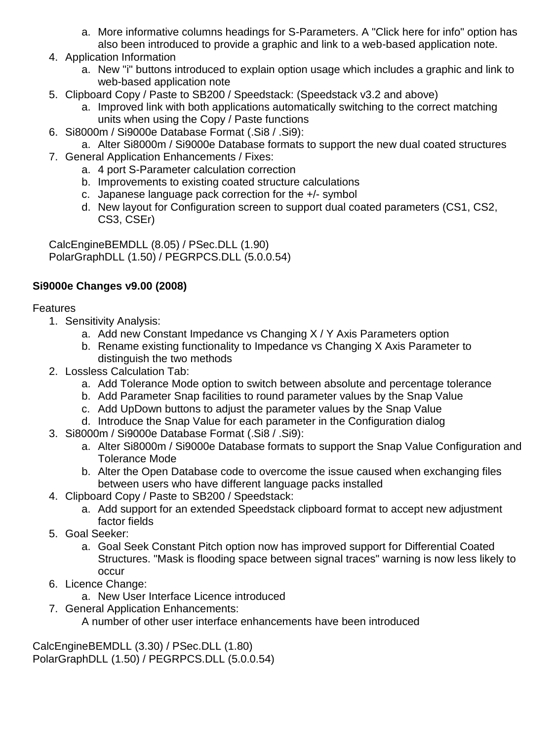- a. More informative columns headings for S-Parameters. A "Click here for info" option has
- also been introduced to provide a graphic and link to a web-based application note.
- 4. Application Information
	- a. New "i" buttons introduced to explain option usage which includes a graphic and link to web-based application note
- 5. Clipboard Copy / Paste to SB200 / Speedstack: (Speedstack v3.2 and above)
	- a. Improved link with both applications automatically switching to the correct matching units when using the Copy / Paste functions
- 6. Si8000m / Si9000e Database Format (.Si8 / .Si9):
	- a. Alter Si8000m / Si9000e Database formats to support the new dual coated structures
- 7. General Application Enhancements / Fixes:
	- a. 4 port S-Parameter calculation correction
	- b. Improvements to existing coated structure calculations
	- c. Japanese language pack correction for the +/- symbol
	- d. New layout for Configuration screen to support dual coated parameters (CS1, CS2, CS3, CSEr)

CalcEngineBEMDLL (8.05) / PSec.DLL (1.90) PolarGraphDLL (1.50) / PEGRPCS.DLL (5.0.0.54)

## **Si9000e Changes v9.00 (2008)**

### Features

- 1. Sensitivity Analysis:
	- a. Add new Constant Impedance vs Changing X / Y Axis Parameters option
	- b. Rename existing functionality to Impedance vs Changing X Axis Parameter to distinguish the two methods
- 2. Lossless Calculation Tab:
	- a. Add Tolerance Mode option to switch between absolute and percentage tolerance
	- b. Add Parameter Snap facilities to round parameter values by the Snap Value
	- c. Add UpDown buttons to adjust the parameter values by the Snap Value
	- d. Introduce the Snap Value for each parameter in the Configuration dialog
- 3. Si8000m / Si9000e Database Format (.Si8 / .Si9):
	- a. Alter Si8000m / Si9000e Database formats to support the Snap Value Configuration and Tolerance Mode
	- b. Alter the Open Database code to overcome the issue caused when exchanging files between users who have different language packs installed
- 4. Clipboard Copy / Paste to SB200 / Speedstack:
	- a. Add support for an extended Speedstack clipboard format to accept new adjustment factor fields
- 5. Goal Seeker:
	- a. Goal Seek Constant Pitch option now has improved support for Differential Coated Structures. "Mask is flooding space between signal traces" warning is now less likely to occur
- 6. Licence Change:
	- a. New User Interface Licence introduced
- 7. General Application Enhancements:

A number of other user interface enhancements have been introduced

CalcEngineBEMDLL (3.30) / PSec.DLL (1.80) PolarGraphDLL (1.50) / PEGRPCS.DLL (5.0.0.54)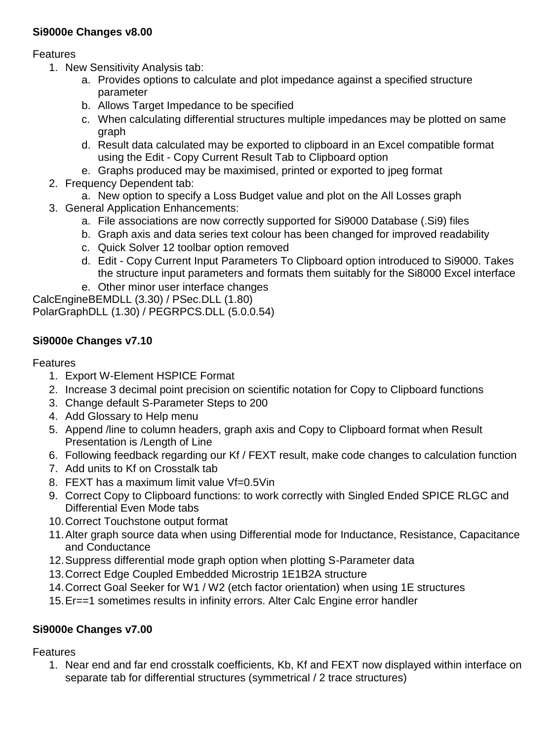### **Si9000e Changes v8.00**

Features

- 1. New Sensitivity Analysis tab:
	- a. Provides options to calculate and plot impedance against a specified structure parameter
	- b. Allows Target Impedance to be specified
	- c. When calculating differential structures multiple impedances may be plotted on same graph
	- d. Result data calculated may be exported to clipboard in an Excel compatible format using the Edit - Copy Current Result Tab to Clipboard option
	- e. Graphs produced may be maximised, printed or exported to jpeg format
- 2. Frequency Dependent tab:
	- a. New option to specify a Loss Budget value and plot on the All Losses graph
- 3. General Application Enhancements:
	- a. File associations are now correctly supported for Si9000 Database (.Si9) files
	- b. Graph axis and data series text colour has been changed for improved readability
	- c. Quick Solver 12 toolbar option removed
	- d. Edit Copy Current Input Parameters To Clipboard option introduced to Si9000. Takes the structure input parameters and formats them suitably for the Si8000 Excel interface
	- e. Other minor user interface changes

CalcEngineBEMDLL (3.30) / PSec.DLL (1.80) PolarGraphDLL (1.30) / PEGRPCS.DLL (5.0.0.54)

## **Si9000e Changes v7.10**

### Features

- 1. Export W-Element HSPICE Format
- 2. Increase 3 decimal point precision on scientific notation for Copy to Clipboard functions
- 3. Change default S-Parameter Steps to 200
- 4. Add Glossary to Help menu
- 5. Append /line to column headers, graph axis and Copy to Clipboard format when Result Presentation is /Length of Line
- 6. Following feedback regarding our Kf / FEXT result, make code changes to calculation function
- 7. Add units to Kf on Crosstalk tab
- 8. FEXT has a maximum limit value Vf=0.5Vin
- 9. Correct Copy to Clipboard functions: to work correctly with Singled Ended SPICE RLGC and Differential Even Mode tabs
- 10.Correct Touchstone output format
- 11.Alter graph source data when using Differential mode for Inductance, Resistance, Capacitance and Conductance
- 12.Suppress differential mode graph option when plotting S-Parameter data
- 13.Correct Edge Coupled Embedded Microstrip 1E1B2A structure
- 14.Correct Goal Seeker for W1 / W2 (etch factor orientation) when using 1E structures
- 15.Er==1 sometimes results in infinity errors. Alter Calc Engine error handler

## **Si9000e Changes v7.00**

Features

1. Near end and far end crosstalk coefficients, Kb, Kf and FEXT now displayed within interface on separate tab for differential structures (symmetrical / 2 trace structures)